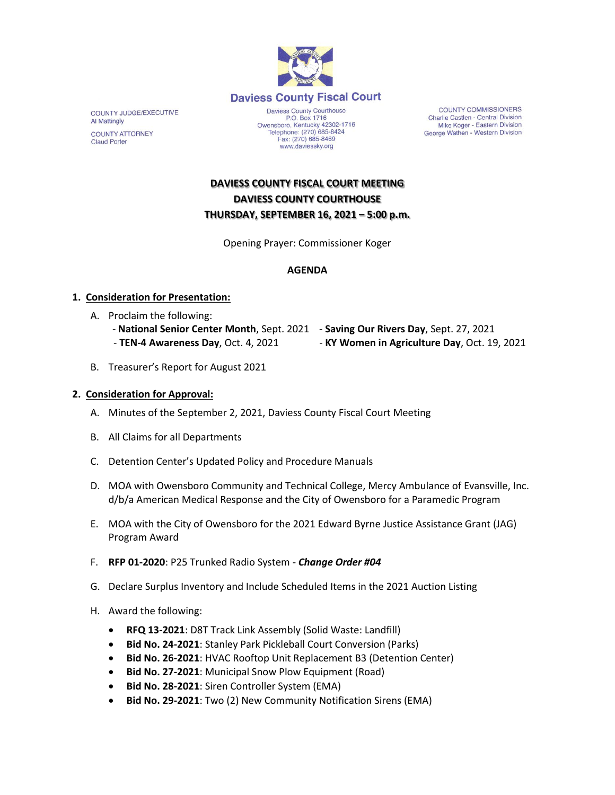

**COUNTY JUDGE/EXECUTIVE** Al Mattingly **COUNTY ATTORNEY Claud Porter** 

P.O. Box 1716<br>Owensboro, Kentucky 42302-1716<br>Telephone: (270) 685-8424 Fax: (270) 685-8469 www.daviessky.org

COUNTY COMMISSIONERS Charlie Castlen - Central Division Mike Koger - Eastern Division George Wathen - Western Division

# **DAVIESS COUNTY FISCAL COURT MEETING DAVIESS COUNTY COURTHOUSE THURSDAY, SEPTEMBER 16, 2021 – 5:00 p.m.**

Opening Prayer: Commissioner Koger

#### **AGENDA**

#### **1. Consideration for Presentation:**

- A. Proclaim the following:
	- **National Senior Center Month**, Sept. 2021 **Saving Our Rivers Day**, Sept. 27, 2021 - **TEN-4 Awareness Day**, Oct. 4, 2021 - **KY Women in Agriculture Day**, Oct. 19, 2021
- B. Treasurer's Report for August 2021

#### **2. Consideration for Approval:**

- A. Minutes of the September 2, 2021, Daviess County Fiscal Court Meeting
- B. All Claims for all Departments
- C. Detention Center's Updated Policy and Procedure Manuals
- D. MOA with Owensboro Community and Technical College, Mercy Ambulance of Evansville, Inc. d/b/a American Medical Response and the City of Owensboro for a Paramedic Program
- E. MOA with the City of Owensboro for the 2021 Edward Byrne Justice Assistance Grant (JAG) Program Award
- F. **RFP 01-2020**: P25 Trunked Radio System *Change Order #04*
- G. Declare Surplus Inventory and Include Scheduled Items in the 2021 Auction Listing
- H. Award the following:
	- **RFQ 13-2021**: D8T Track Link Assembly (Solid Waste: Landfill)
	- **Bid No. 24-2021**: Stanley Park Pickleball Court Conversion (Parks)
	- **Bid No. 26-2021**: HVAC Rooftop Unit Replacement B3 (Detention Center)
	- **Bid No. 27-2021**: Municipal Snow Plow Equipment (Road)
	- **Bid No. 28-2021**: Siren Controller System (EMA)
	- **Bid No. 29-2021**: Two (2) New Community Notification Sirens (EMA)